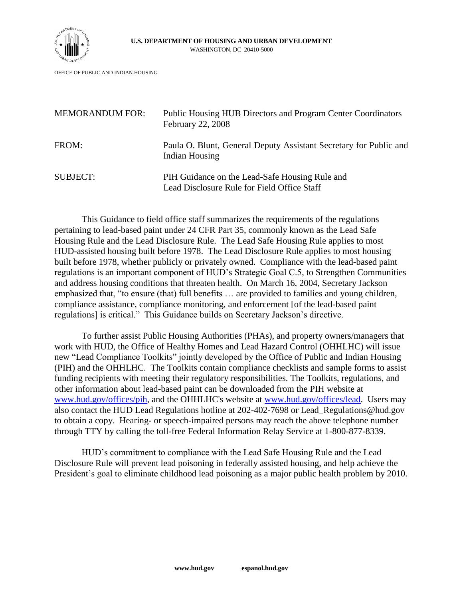

OFFICE OF PUBLIC AND INDIAN HOUSING

| <b>MEMORANDUM FOR:</b> | <b>Public Housing HUB Directors and Program Center Coordinators</b><br><b>February 22, 2008</b> |  |  |  |  |  |
|------------------------|-------------------------------------------------------------------------------------------------|--|--|--|--|--|
| FROM:                  | Paula O. Blunt, General Deputy Assistant Secretary for Public and<br>Indian Housing             |  |  |  |  |  |
| <b>SUBJECT:</b>        | PIH Guidance on the Lead-Safe Housing Rule and<br>Lead Disclosure Rule for Field Office Staff   |  |  |  |  |  |

This Guidance to field office staff summarizes the requirements of the regulations pertaining to lead-based paint under 24 CFR Part 35, commonly known as the Lead Safe Housing Rule and the Lead Disclosure Rule. The Lead Safe Housing Rule applies to most HUD-assisted housing built before 1978. The Lead Disclosure Rule applies to most housing built before 1978, whether publicly or privately owned. Compliance with the lead-based paint regulations is an important component of HUD's Strategic Goal C.5, to Strengthen Communities and address housing conditions that threaten health. On March 16, 2004, Secretary Jackson emphasized that, "to ensure (that) full benefits … are provided to families and young children, compliance assistance, compliance monitoring, and enforcement [of the lead-based paint regulations] is critical." This Guidance builds on Secretary Jackson's directive.

To further assist Public Housing Authorities (PHAs), and property owners/managers that work with HUD, the Office of Healthy Homes and Lead Hazard Control (OHHLHC) will issue new "Lead Compliance Toolkits" jointly developed by the Office of Public and Indian Housing (PIH) and the OHHLHC. The Toolkits contain compliance checklists and sample forms to assist funding recipients with meeting their regulatory responsibilities. The Toolkits, regulations, and other information about lead-based paint can be downloaded from the PIH website at [www.hud.gov/offices/pih,](http://www.hud.gov/offices/pih) and the OHHLHC's website at [www.hud.gov/offices/lead.](http://www.hud.gov/offices/lead) Users may also contact the HUD Lead Regulations hotline at 202-402-7698 or Lead\_Regulations@hud.gov to obtain a copy. Hearing- or speech-impaired persons may reach the above telephone number through TTY by calling the toll-free Federal Information Relay Service at 1-800-877-8339.

HUD's commitment to compliance with the Lead Safe Housing Rule and the Lead Disclosure Rule will prevent lead poisoning in federally assisted housing, and help achieve the President's goal to eliminate childhood lead poisoning as a major public health problem by 2010.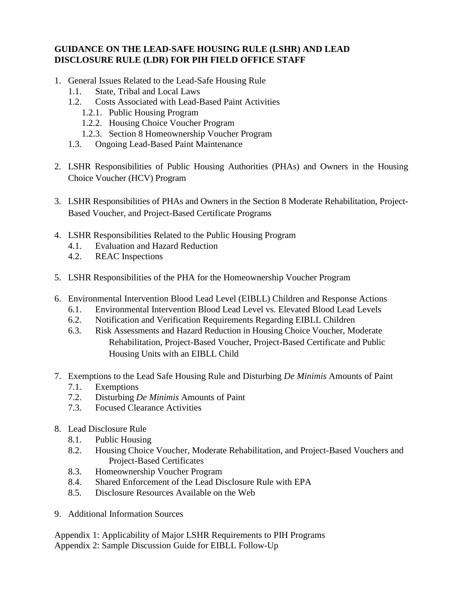#### **GUIDANCE ON THE LEAD-SAFE HOUSING RULE (LSHR) AND LEAD DISCLOSURE RULE (LDR) FOR PIH FIELD OFFICE STAFF**

- 1. General Issues Related to the Lead-Safe Housing Rule
	- 1.1. State, Tribal and Local Laws
	- 1.2. Costs Associated with Lead-Based Paint Activities
		- 1.2.1. Public Housing Program
		- 1.2.2. Housing Choice Voucher Program
		- 1.2.3. Section 8 Homeownership Voucher Program
	- 1.3. Ongoing Lead-Based Paint Maintenance
- 2. LSHR Responsibilities of Public Housing Authorities (PHAs) and Owners in the Housing Choice Voucher (HCV) Program
- 3. LSHR Responsibilities of PHAs and Owners in the Section 8 Moderate Rehabilitation, Project-Based Voucher, and Project-Based Certificate Programs
- 4. LSHR Responsibilities Related to the Public Housing Program
	- 4.1. Evaluation and Hazard Reduction
	- 4.2. REAC Inspections
- 5. LSHR Responsibilities of the PHA for the Homeownership Voucher Program
- 6. Environmental Intervention Blood Lead Level (EIBLL) Children and Response Actions
	- 6.1. Environmental Intervention Blood Lead Level vs. Elevated Blood Lead Levels
	- 6.2. Notification and Verification Requirements Regarding EIBLL Children
	- 6.3. Risk Assessments and Hazard Reduction in Housing Choice Voucher, Moderate Rehabilitation, Project-Based Voucher, Project-Based Certificate and Public Housing Units with an EIBLL Child
- 7. Exemptions to the Lead Safe Housing Rule and Disturbing *De Minimis* Amounts of Paint
	- 7.1. Exemptions
	- 7.2. Disturbing *De Minimis* Amounts of Paint
	- 7.3. Focused Clearance Activities
- 8. Lead Disclosure Rule
	- 8.1. Public Housing
	- 8.2. Housing Choice Voucher, Moderate Rehabilitation, and Project-Based Vouchers and Project-Based Certificates
	- 8.3. Homeownership Voucher Program
	- 8.4. Shared Enforcement of the Lead Disclosure Rule with EPA
	- 8.5. Disclosure Resources Available on the Web
- 9. Additional Information Sources

Appendix 1: Applicability of Major LSHR Requirements to PIH Programs Appendix 2: Sample Discussion Guide for EIBLL Follow-Up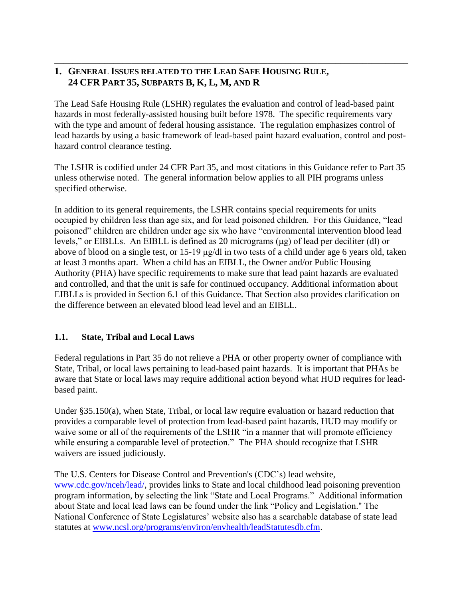## **1. GENERAL ISSUES RELATED TO THE LEAD SAFE HOUSING RULE, 24 CFR PART 35, SUBPARTS B, K, L, M, AND R**

The Lead Safe Housing Rule (LSHR) regulates the evaluation and control of lead-based paint hazards in most federally-assisted housing built before 1978. The specific requirements vary with the type and amount of federal housing assistance. The regulation emphasizes control of lead hazards by using a basic framework of lead-based paint hazard evaluation, control and posthazard control clearance testing.

\_\_\_\_\_\_\_\_\_\_\_\_\_\_\_\_\_\_\_\_\_\_\_\_\_\_\_\_\_\_\_\_\_\_\_\_\_\_\_\_\_\_\_\_\_\_\_\_\_\_\_\_\_\_\_\_\_\_\_\_\_\_\_\_\_\_\_\_\_\_\_\_\_\_\_\_\_\_

The LSHR is codified under 24 CFR Part 35, and most citations in this Guidance refer to Part 35 unless otherwise noted. The general information below applies to all PIH programs unless specified otherwise.

In addition to its general requirements, the LSHR contains special requirements for units occupied by children less than age six, and for lead poisoned children. For this Guidance, "lead poisoned" children are children under age six who have "environmental intervention blood lead levels," or EIBLLs. An EIBLL is defined as 20 micrograms (μg) of lead per deciliter (dl) or above of blood on a single test, or 15-19 μg/dl in two tests of a child under age 6 years old, taken at least 3 months apart. When a child has an EIBLL, the Owner and/or Public Housing Authority (PHA) have specific requirements to make sure that lead paint hazards are evaluated and controlled, and that the unit is safe for continued occupancy. Additional information about EIBLLs is provided in Section 6.1 of this Guidance. That Section also provides clarification on the difference between an elevated blood lead level and an EIBLL.

#### **1.1. State, Tribal and Local Laws**

Federal regulations in Part 35 do not relieve a PHA or other property owner of compliance with State, Tribal, or local laws pertaining to lead-based paint hazards. It is important that PHAs be aware that State or local laws may require additional action beyond what HUD requires for leadbased paint.

Under §35.150(a), when State, Tribal, or local law require evaluation or hazard reduction that provides a comparable level of protection from lead-based paint hazards, HUD may modify or waive some or all of the requirements of the LSHR "in a manner that will promote efficiency while ensuring a comparable level of protection." The PHA should recognize that LSHR waivers are issued judiciously.

The U.S. Centers for Disease Control and Prevention's (CDC's) lead website, [www.cdc.gov/nceh/lead/,](http://www.cdc.gov/nceh/lead/) provides links to State and local childhood lead poisoning prevention program information, by selecting the link "State and Local Programs." Additional information about State and local lead laws can be found under the link "Policy and Legislation." The National Conference of State Legislatures' website also has a searchable database of state lead statutes at [www.ncsl.org/programs/environ/envhealth/leadStatutesdb.cfm.](http://www.ncsl.org/programs/environ/envhealth/leadStatutesdb.cfm)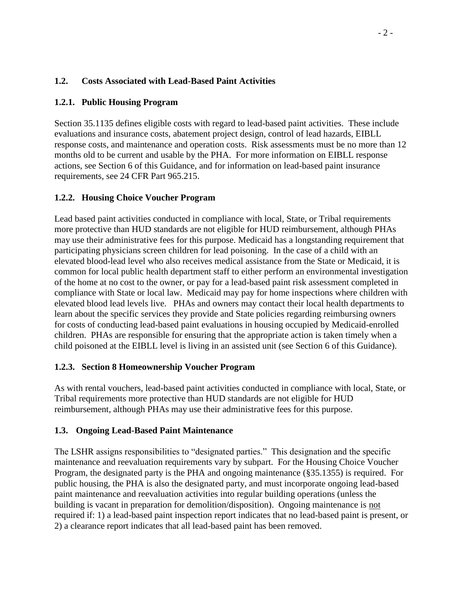### **1.2. Costs Associated with Lead-Based Paint Activities**

### **1.2.1. Public Housing Program**

Section 35.1135 defines eligible costs with regard to lead-based paint activities. These include evaluations and insurance costs, abatement project design, control of lead hazards, EIBLL response costs, and maintenance and operation costs. Risk assessments must be no more than 12 months old to be current and usable by the PHA. For more information on EIBLL response actions, see Section 6 of this Guidance, and for information on lead-based paint insurance requirements, see 24 CFR Part 965.215.

#### **1.2.2. Housing Choice Voucher Program**

Lead based paint activities conducted in compliance with local, State, or Tribal requirements more protective than HUD standards are not eligible for HUD reimbursement, although PHAs may use their administrative fees for this purpose. Medicaid has a longstanding requirement that participating physicians screen children for lead poisoning. In the case of a child with an elevated blood-lead level who also receives medical assistance from the State or Medicaid, it is common for local public health department staff to either perform an environmental investigation of the home at no cost to the owner, or pay for a lead-based paint risk assessment completed in compliance with State or local law. Medicaid may pay for home inspections where children with elevated blood lead levels live. PHAs and owners may contact their local health departments to learn about the specific services they provide and State policies regarding reimbursing owners for costs of conducting lead-based paint evaluations in housing occupied by Medicaid-enrolled children. PHAs are responsible for ensuring that the appropriate action is taken timely when a child poisoned at the EIBLL level is living in an assisted unit (see Section 6 of this Guidance).

#### **1.2.3. Section 8 Homeownership Voucher Program**

As with rental vouchers, lead-based paint activities conducted in compliance with local, State, or Tribal requirements more protective than HUD standards are not eligible for HUD reimbursement, although PHAs may use their administrative fees for this purpose.

#### **1.3. Ongoing Lead-Based Paint Maintenance**

The LSHR assigns responsibilities to "designated parties." This designation and the specific maintenance and reevaluation requirements vary by subpart. For the Housing Choice Voucher Program, the designated party is the PHA and ongoing maintenance (§35.1355) is required. For public housing, the PHA is also the designated party, and must incorporate ongoing lead-based paint maintenance and reevaluation activities into regular building operations (unless the building is vacant in preparation for demolition/disposition). Ongoing maintenance is not required if: 1) a lead-based paint inspection report indicates that no lead-based paint is present, or 2) a clearance report indicates that all lead-based paint has been removed.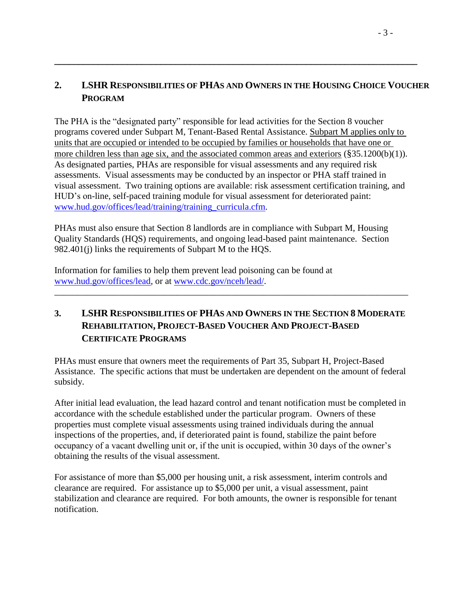## **2. LSHR RESPONSIBILITIES OF PHAS AND OWNERS IN THE HOUSING CHOICE VOUCHER PROGRAM**

**\_\_\_\_\_\_\_\_\_\_\_\_\_\_\_\_\_\_\_\_\_\_\_\_\_\_\_\_\_\_\_\_\_\_\_\_\_\_\_\_\_\_\_\_\_\_\_\_\_\_\_\_\_\_\_\_\_\_\_\_\_\_\_\_\_\_\_\_\_\_\_\_\_\_\_**

The PHA is the "designated party" responsible for lead activities for the Section 8 voucher programs covered under Subpart M, Tenant-Based Rental Assistance. Subpart M applies only to units that are occupied or intended to be occupied by families or households that have one or more children less than age six, and the associated common areas and exteriors (§35.1200(b)(1)). As designated parties, PHAs are responsible for visual assessments and any required risk assessments. Visual assessments may be conducted by an inspector or PHA staff trained in visual assessment. Two training options are available: risk assessment certification training, and HUD's on-line, self-paced training module for visual assessment for deteriorated paint: [www.hud.gov/offices/lead/training/training\\_curricula.cfm.](http://www.hud.gov/offices/lead/training/training_curricula.cfm)

PHAs must also ensure that Section 8 landlords are in compliance with Subpart M, Housing Quality Standards (HQS) requirements, and ongoing lead-based paint maintenance. Section 982.401(j) links the requirements of Subpart M to the HQS.

Information for families to help them prevent lead poisoning can be found at [www.hud.gov/offices/lead,](http://www.hud.gov/offices/lead) or at [www.cdc.gov/nceh/lead/.](http://www.cdc.gov/nceh/lead/)

## **3. LSHR RESPONSIBILITIES OF PHAS AND OWNERS IN THE SECTION 8 MODERATE REHABILITATION, PROJECT-BASED VOUCHER AND PROJECT-BASED CERTIFICATE PROGRAMS**

\_\_\_\_\_\_\_\_\_\_\_\_\_\_\_\_\_\_\_\_\_\_\_\_\_\_\_\_\_\_\_\_\_\_\_\_\_\_\_\_\_\_\_\_\_\_\_\_\_\_\_\_\_\_\_\_\_\_\_\_\_\_\_\_\_\_\_\_\_\_\_\_\_\_\_\_\_\_

PHAs must ensure that owners meet the requirements of Part 35, Subpart H, Project-Based Assistance. The specific actions that must be undertaken are dependent on the amount of federal subsidy.

After initial lead evaluation, the lead hazard control and tenant notification must be completed in accordance with the schedule established under the particular program. Owners of these properties must complete visual assessments using trained individuals during the annual inspections of the properties, and, if deteriorated paint is found, stabilize the paint before occupancy of a vacant dwelling unit or, if the unit is occupied, within 30 days of the owner's obtaining the results of the visual assessment.

For assistance of more than \$5,000 per housing unit, a risk assessment, interim controls and clearance are required. For assistance up to \$5,000 per unit, a visual assessment, paint stabilization and clearance are required. For both amounts, the owner is responsible for tenant notification.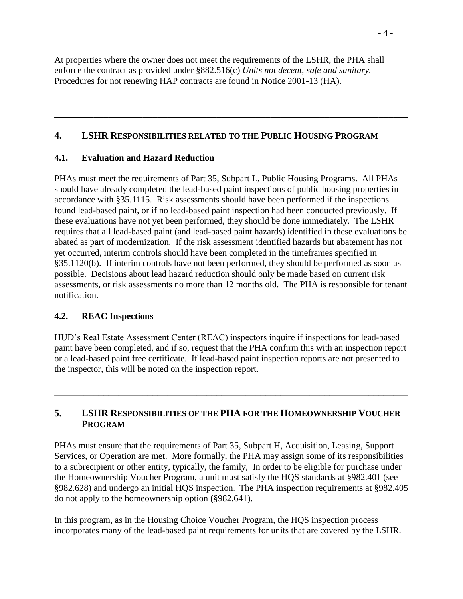At properties where the owner does not meet the requirements of the LSHR, the PHA shall enforce the contract as provided under §882.516(c) *Units not decent, safe and sanitary.* Procedures for not renewing HAP contracts are found in Notice 2001-13 (HA).

#### **4. LSHR RESPONSIBILITIES RELATED TO THE PUBLIC HOUSING PROGRAM**

**\_\_\_\_\_\_\_\_\_\_\_\_\_\_\_\_\_\_\_\_\_\_\_\_\_\_\_\_\_\_\_\_\_\_\_\_\_\_\_\_\_\_\_\_\_\_\_\_\_\_\_\_\_\_\_\_\_\_\_\_\_\_\_\_\_\_\_\_\_\_\_\_**

### **4.1. Evaluation and Hazard Reduction**

PHAs must meet the requirements of Part 35, Subpart L, Public Housing Programs. All PHAs should have already completed the lead-based paint inspections of public housing properties in accordance with §35.1115. Risk assessments should have been performed if the inspections found lead-based paint, or if no lead-based paint inspection had been conducted previously. If these evaluations have not yet been performed, they should be done immediately. The LSHR requires that all lead-based paint (and lead-based paint hazards) identified in these evaluations be abated as part of modernization. If the risk assessment identified hazards but abatement has not yet occurred, interim controls should have been completed in the timeframes specified in §35.1120(b). If interim controls have not been performed, they should be performed as soon as possible. Decisions about lead hazard reduction should only be made based on current risk assessments, or risk assessments no more than 12 months old. The PHA is responsible for tenant notification.

### **4.2. REAC Inspections**

HUD's Real Estate Assessment Center (REAC) inspectors inquire if inspections for lead-based paint have been completed, and if so, request that the PHA confirm this with an inspection report or a lead-based paint free certificate. If lead-based paint inspection reports are not presented to the inspector, this will be noted on the inspection report.

**\_\_\_\_\_\_\_\_\_\_\_\_\_\_\_\_\_\_\_\_\_\_\_\_\_\_\_\_\_\_\_\_\_\_\_\_\_\_\_\_\_\_\_\_\_\_\_\_\_\_\_\_\_\_\_\_\_\_\_\_\_\_\_\_\_\_\_\_\_\_\_\_**

### **5. LSHR RESPONSIBILITIES OF THE PHA FOR THE HOMEOWNERSHIP VOUCHER PROGRAM**

PHAs must ensure that the requirements of Part 35, Subpart H, Acquisition, Leasing, Support Services, or Operation are met. More formally, the PHA may assign some of its responsibilities to a subrecipient or other entity, typically, the family, In order to be eligible for purchase under the Homeownership Voucher Program, a unit must satisfy the HQS standards at §982.401 (see §982.628) and undergo an initial HQS inspection. The PHA inspection requirements at §982.405 do not apply to the homeownership option (§982.641).

In this program, as in the Housing Choice Voucher Program, the HQS inspection process incorporates many of the lead-based paint requirements for units that are covered by the LSHR.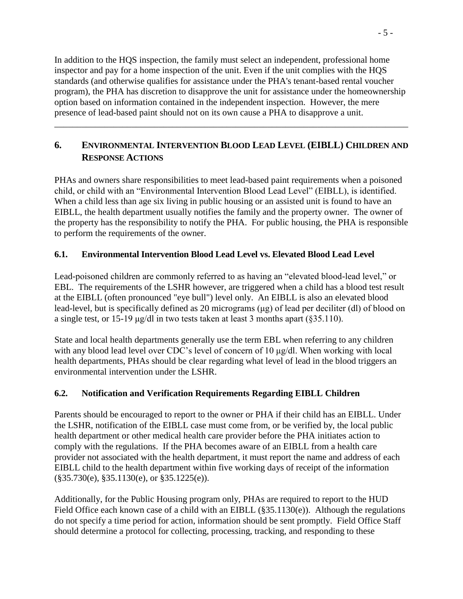In addition to the HQS inspection, the family must select an independent, professional home inspector and pay for a home inspection of the unit. Even if the unit complies with the HQS standards (and otherwise qualifies for assistance under the PHA's tenant-based rental voucher program), the PHA has discretion to disapprove the unit for assistance under the homeownership option based on information contained in the independent inspection. However, the mere presence of lead-based paint should not on its own cause a PHA to disapprove a unit.

# **6. ENVIRONMENTAL INTERVENTION BLOOD LEAD LEVEL (EIBLL) CHILDREN AND RESPONSE ACTIONS**

\_\_\_\_\_\_\_\_\_\_\_\_\_\_\_\_\_\_\_\_\_\_\_\_\_\_\_\_\_\_\_\_\_\_\_\_\_\_\_\_\_\_\_\_\_\_\_\_\_\_\_\_\_\_\_\_\_\_\_\_\_\_\_\_\_\_\_\_\_\_\_\_\_\_\_\_\_\_

PHAs and owners share responsibilities to meet lead-based paint requirements when a poisoned child, or child with an "Environmental Intervention Blood Lead Level" (EIBLL), is identified. When a child less than age six living in public housing or an assisted unit is found to have an EIBLL, the health department usually notifies the family and the property owner. The owner of the property has the responsibility to notify the PHA. For public housing, the PHA is responsible to perform the requirements of the owner.

## **6.1. Environmental Intervention Blood Lead Level vs. Elevated Blood Lead Level**

Lead-poisoned children are commonly referred to as having an "elevated blood-lead level," or EBL. The requirements of the LSHR however, are triggered when a child has a blood test result at the EIBLL (often pronounced "eye bull") level only. An EIBLL is also an elevated blood lead-level, but is specifically defined as 20 micrograms (μg) of lead per deciliter (dl) of blood on a single test, or 15-19 μg/dl in two tests taken at least 3 months apart (§35.110).

State and local health departments generally use the term EBL when referring to any children with any blood lead level over CDC's level of concern of 10 μg/dl. When working with local health departments, PHAs should be clear regarding what level of lead in the blood triggers an environmental intervention under the LSHR.

### **6.2. Notification and Verification Requirements Regarding EIBLL Children**

Parents should be encouraged to report to the owner or PHA if their child has an EIBLL. Under the LSHR, notification of the EIBLL case must come from, or be verified by, the local public health department or other medical health care provider before the PHA initiates action to comply with the regulations. If the PHA becomes aware of an EIBLL from a health care provider not associated with the health department, it must report the name and address of each EIBLL child to the health department within five working days of receipt of the information (§35.730(e), §35.1130(e), or §35.1225(e)).

Additionally, for the Public Housing program only, PHAs are required to report to the HUD Field Office each known case of a child with an EIBLL (§35.1130(e)). Although the regulations do not specify a time period for action, information should be sent promptly. Field Office Staff should determine a protocol for collecting, processing, tracking, and responding to these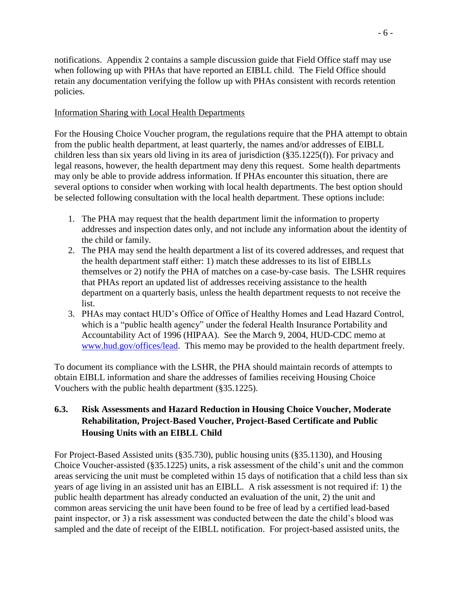notifications. Appendix 2 contains a sample discussion guide that Field Office staff may use when following up with PHAs that have reported an EIBLL child. The Field Office should retain any documentation verifying the follow up with PHAs consistent with records retention policies.

#### Information Sharing with Local Health Departments

For the Housing Choice Voucher program, the regulations require that the PHA attempt to obtain from the public health department, at least quarterly, the names and/or addresses of EIBLL children less than six years old living in its area of jurisdiction (§35.1225(f)). For privacy and legal reasons, however, the health department may deny this request. Some health departments may only be able to provide address information. If PHAs encounter this situation, there are several options to consider when working with local health departments. The best option should be selected following consultation with the local health department. These options include:

- 1. The PHA may request that the health department limit the information to property addresses and inspection dates only, and not include any information about the identity of the child or family.
- 2. The PHA may send the health department a list of its covered addresses, and request that the health department staff either: 1) match these addresses to its list of EIBLLs themselves or 2) notify the PHA of matches on a case-by-case basis. The LSHR requires that PHAs report an updated list of addresses receiving assistance to the health department on a quarterly basis, unless the health department requests to not receive the list.
- 3. PHAs may contact HUD's Office of Office of Healthy Homes and Lead Hazard Control, which is a "public health agency" under the federal Health Insurance Portability and Accountability Act of 1996 (HIPAA). See the March 9, 2004, HUD-CDC memo at [www.hud.gov/offices/lead.](http://www.hud.gov/offices/lead) This memo may be provided to the health department freely.

To document its compliance with the LSHR, the PHA should maintain records of attempts to obtain EIBLL information and share the addresses of families receiving Housing Choice Vouchers with the public health department (§35.1225).

### **6.3. Risk Assessments and Hazard Reduction in Housing Choice Voucher, Moderate Rehabilitation, Project-Based Voucher, Project-Based Certificate and Public Housing Units with an EIBLL Child**

For Project-Based Assisted units (§35.730), public housing units (§35.1130), and Housing Choice Voucher-assisted (§35.1225) units, a risk assessment of the child's unit and the common areas servicing the unit must be completed within 15 days of notification that a child less than six years of age living in an assisted unit has an EIBLL. A risk assessment is not required if: 1) the public health department has already conducted an evaluation of the unit, 2) the unit and common areas servicing the unit have been found to be free of lead by a certified lead-based paint inspector, or 3) a risk assessment was conducted between the date the child's blood was sampled and the date of receipt of the EIBLL notification. For project-based assisted units, the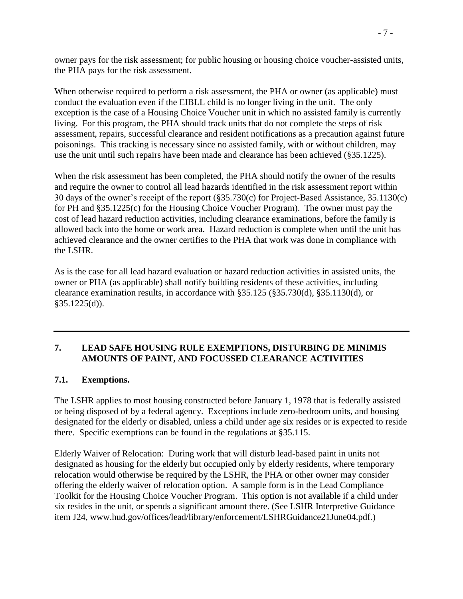owner pays for the risk assessment; for public housing or housing choice voucher-assisted units, the PHA pays for the risk assessment.

When otherwise required to perform a risk assessment, the PHA or owner (as applicable) must conduct the evaluation even if the EIBLL child is no longer living in the unit. The only exception is the case of a Housing Choice Voucher unit in which no assisted family is currently living. For this program, the PHA should track units that do not complete the steps of risk assessment, repairs, successful clearance and resident notifications as a precaution against future poisonings. This tracking is necessary since no assisted family, with or without children, may use the unit until such repairs have been made and clearance has been achieved (§35.1225).

When the risk assessment has been completed, the PHA should notify the owner of the results and require the owner to control all lead hazards identified in the risk assessment report within 30 days of the owner's receipt of the report (§35.730(c) for Project-Based Assistance, 35.1130(c) for PH and §35.1225(c) for the Housing Choice Voucher Program). The owner must pay the cost of lead hazard reduction activities, including clearance examinations, before the family is allowed back into the home or work area. Hazard reduction is complete when until the unit has achieved clearance and the owner certifies to the PHA that work was done in compliance with the LSHR.

As is the case for all lead hazard evaluation or hazard reduction activities in assisted units, the owner or PHA (as applicable) shall notify building residents of these activities, including clearance examination results, in accordance with §35.125 (§35.730(d), §35.1130(d), or §35.1225(d)).

### **7. LEAD SAFE HOUSING RULE EXEMPTIONS, DISTURBING DE MINIMIS AMOUNTS OF PAINT, AND FOCUSSED CLEARANCE ACTIVITIES**

#### **7.1. Exemptions.**

The LSHR applies to most housing constructed before January 1, 1978 that is federally assisted or being disposed of by a federal agency. Exceptions include zero-bedroom units, and housing designated for the elderly or disabled, unless a child under age six resides or is expected to reside there. Specific exemptions can be found in the regulations at §35.115.

Elderly Waiver of Relocation: During work that will disturb lead-based paint in units not designated as housing for the elderly but occupied only by elderly residents, where temporary relocation would otherwise be required by the LSHR, the PHA or other owner may consider offering the elderly waiver of relocation option. A sample form is in the Lead Compliance Toolkit for the Housing Choice Voucher Program. This option is not available if a child under six resides in the unit, or spends a significant amount there. (See LSHR Interpretive Guidance item J24, www.hud.gov/offices/lead/library/enforcement/LSHRGuidance21June04.pdf.)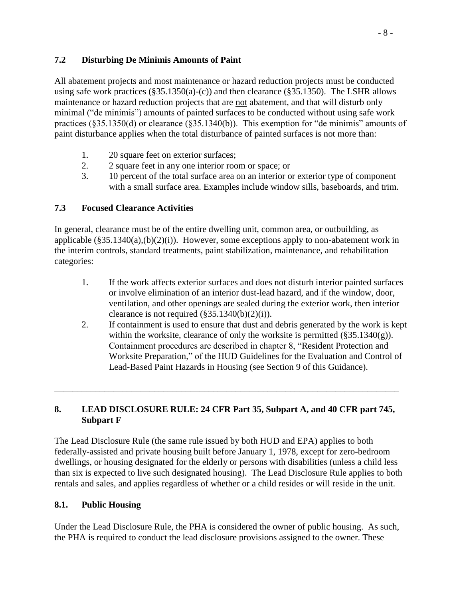### **7.2 Disturbing De Minimis Amounts of Paint**

All abatement projects and most maintenance or hazard reduction projects must be conducted using safe work practices  $(\S 35.1350(a)-(c))$  and then clearance  $(\S 35.1350)$ . The LSHR allows maintenance or hazard reduction projects that are not abatement, and that will disturb only minimal ("de minimis") amounts of painted surfaces to be conducted without using safe work practices (§35.1350(d) or clearance (§35.1340(b)). This exemption for "de minimis" amounts of paint disturbance applies when the total disturbance of painted surfaces is not more than:

- 1. 20 square feet on exterior surfaces;
- 2. 2 square feet in any one interior room or space; or
- 3. 10 percent of the total surface area on an interior or exterior type of component with a small surface area. Examples include window sills, baseboards, and trim.

### **7.3 Focused Clearance Activities**

In general, clearance must be of the entire dwelling unit, common area, or outbuilding, as applicable  $(\S 35.1340(a), (b)(2)(i))$ . However, some exceptions apply to non-abatement work in the interim controls, standard treatments, paint stabilization, maintenance, and rehabilitation categories:

- 1. If the work affects exterior surfaces and does not disturb interior painted surfaces or involve elimination of an interior dust-lead hazard, and if the window, door, ventilation, and other openings are sealed during the exterior work, then interior clearance is not required  $(\frac{255.1340(b)(2)(i)}{i})$ .
- 2. If containment is used to ensure that dust and debris generated by the work is kept within the worksite, clearance of only the worksite is permitted  $(\S 35.1340(g))$ . Containment procedures are described in chapter 8, "Resident Protection and Worksite Preparation," of the HUD Guidelines for the Evaluation and Control of Lead-Based Paint Hazards in Housing (see Section 9 of this Guidance).

### **8. LEAD DISCLOSURE RULE: 24 CFR Part 35, Subpart A, and 40 CFR part 745, Subpart F**

\_\_\_\_\_\_\_\_\_\_\_\_\_\_\_\_\_\_\_\_\_\_\_\_\_\_\_\_\_\_\_\_\_\_\_\_\_\_\_\_\_\_\_\_\_\_\_\_\_\_\_\_\_\_\_\_\_\_\_\_\_\_\_\_\_\_\_\_\_\_\_\_\_\_\_\_

The Lead Disclosure Rule (the same rule issued by both HUD and EPA) applies to both federally-assisted and private housing built before January 1, 1978, except for zero-bedroom dwellings, or housing designated for the elderly or persons with disabilities (unless a child less than six is expected to live such designated housing). The Lead Disclosure Rule applies to both rentals and sales, and applies regardless of whether or a child resides or will reside in the unit.

### **8.1. Public Housing**

Under the Lead Disclosure Rule, the PHA is considered the owner of public housing. As such, the PHA is required to conduct the lead disclosure provisions assigned to the owner. These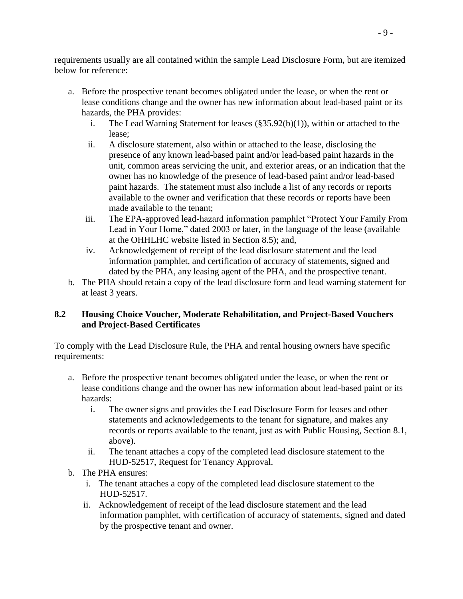requirements usually are all contained within the sample Lead Disclosure Form, but are itemized below for reference:

- a. Before the prospective tenant becomes obligated under the lease, or when the rent or lease conditions change and the owner has new information about lead-based paint or its hazards, the PHA provides:
	- i. The Lead Warning Statement for leases (§35.92(b)(1)), within or attached to the lease;
	- ii. A disclosure statement, also within or attached to the lease, disclosing the presence of any known lead-based paint and/or lead-based paint hazards in the unit, common areas servicing the unit, and exterior areas, or an indication that the owner has no knowledge of the presence of lead-based paint and/or lead-based paint hazards. The statement must also include a list of any records or reports available to the owner and verification that these records or reports have been made available to the tenant;
	- iii. The EPA-approved lead-hazard information pamphlet "Protect Your Family From Lead in Your Home," dated 2003 or later, in the language of the lease (available at the OHHLHC website listed in Section 8.5); and,
	- iv. Acknowledgement of receipt of the lead disclosure statement and the lead information pamphlet, and certification of accuracy of statements, signed and dated by the PHA, any leasing agent of the PHA, and the prospective tenant.
- b. The PHA should retain a copy of the lead disclosure form and lead warning statement for at least 3 years.

### **8.2 Housing Choice Voucher, Moderate Rehabilitation, and Project-Based Vouchers and Project-Based Certificates**

To comply with the Lead Disclosure Rule, the PHA and rental housing owners have specific requirements:

- a. Before the prospective tenant becomes obligated under the lease, or when the rent or lease conditions change and the owner has new information about lead-based paint or its hazards:
	- i. The owner signs and provides the Lead Disclosure Form for leases and other statements and acknowledgements to the tenant for signature, and makes any records or reports available to the tenant, just as with Public Housing, Section 8.1, above).
	- ii. The tenant attaches a copy of the completed lead disclosure statement to the HUD-52517, Request for Tenancy Approval.
- b. The PHA ensures:
	- i. The tenant attaches a copy of the completed lead disclosure statement to the HUD-52517.
	- ii. Acknowledgement of receipt of the lead disclosure statement and the lead information pamphlet, with certification of accuracy of statements, signed and dated by the prospective tenant and owner.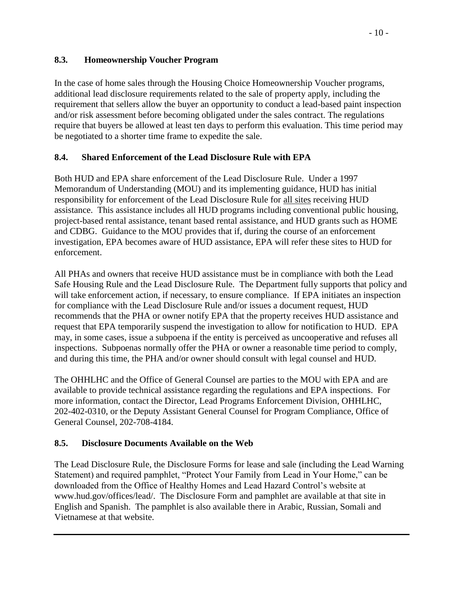### **8.3. Homeownership Voucher Program**

In the case of home sales through the Housing Choice Homeownership Voucher programs, additional lead disclosure requirements related to the sale of property apply, including the requirement that sellers allow the buyer an opportunity to conduct a lead-based paint inspection and/or risk assessment before becoming obligated under the sales contract. The regulations require that buyers be allowed at least ten days to perform this evaluation. This time period may be negotiated to a shorter time frame to expedite the sale.

## **8.4. Shared Enforcement of the Lead Disclosure Rule with EPA**

Both HUD and EPA share enforcement of the Lead Disclosure Rule. Under a 1997 Memorandum of Understanding (MOU) and its implementing guidance, HUD has initial responsibility for enforcement of the Lead Disclosure Rule for all sites receiving HUD assistance. This assistance includes all HUD programs including conventional public housing, project-based rental assistance, tenant based rental assistance, and HUD grants such as HOME and CDBG. Guidance to the MOU provides that if, during the course of an enforcement investigation, EPA becomes aware of HUD assistance, EPA will refer these sites to HUD for enforcement.

All PHAs and owners that receive HUD assistance must be in compliance with both the Lead Safe Housing Rule and the Lead Disclosure Rule. The Department fully supports that policy and will take enforcement action, if necessary, to ensure compliance. If EPA initiates an inspection for compliance with the Lead Disclosure Rule and/or issues a document request, HUD recommends that the PHA or owner notify EPA that the property receives HUD assistance and request that EPA temporarily suspend the investigation to allow for notification to HUD. EPA may, in some cases, issue a subpoena if the entity is perceived as uncooperative and refuses all inspections. Subpoenas normally offer the PHA or owner a reasonable time period to comply, and during this time, the PHA and/or owner should consult with legal counsel and HUD.

The OHHLHC and the Office of General Counsel are parties to the MOU with EPA and are available to provide technical assistance regarding the regulations and EPA inspections. For more information, contact the Director, Lead Programs Enforcement Division, OHHLHC, 202-402-0310, or the Deputy Assistant General Counsel for Program Compliance, Office of General Counsel, 202-708-4184.

### **8.5. Disclosure Documents Available on the Web**

The Lead Disclosure Rule, the Disclosure Forms for lease and sale (including the Lead Warning Statement) and required pamphlet, "Protect Your Family from Lead in Your Home," can be downloaded from the Office of Healthy Homes and Lead Hazard Control's website at www.hud.gov/offices/lead/. The Disclosure Form and pamphlet are available at that site in English and Spanish. The pamphlet is also available there in Arabic, Russian, Somali and Vietnamese at that website.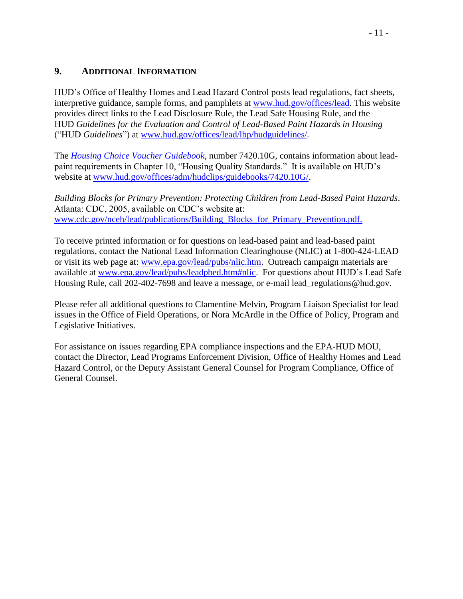### **9. ADDITIONAL INFORMATION**

HUD's Office of Healthy Homes and Lead Hazard Control posts lead regulations, fact sheets, interpretive guidance, sample forms, and pamphlets at [www.hud.gov/offices/lead.](file:///C:/Documents%20and%20Settings/H23132/DOCUME~1/H17560/LOCALS~1/Temp/C.DOCUME~1.ALLUSE~1.APPLIC~1.NOTES.DATA/www.hud.gov/offices/lead) This website provides direct links to the Lead Disclosure Rule, the Lead Safe Housing Rule, and the HUD *Guidelines for the Evaluation and Control of Lead-Based Paint Hazards in Housing* ("HUD *Guidelines*") at [www.hud.gov/offices/lead/lbp/hudguidelines/](http://www.hud.gov/offices/lead/lbp/hudguidelines/)*.*

The *[Housing Choice Voucher Guidebook,](http://www.hud.gov/offices/adm/hudclips/guidebooks/7420.10G/index.cfm)* number 7420.10G, contains information about leadpaint requirements in Chapter 10, "Housing Quality Standards." It is available on HUD's website at [www.hud.gov/offices/adm/hudclips/guidebooks/7420.10G/.](http://www.hud.gov/offices/adm/hudclips/guidebooks/7420.10G/index.cfm)

*Building Blocks for Primary Prevention: Protecting Children from Lead-Based Paint Hazards*. Atlanta: CDC, 2005, available on CDC's website at: [www.cdc.gov/nceh/lead/publications/Building\\_Blocks\\_for\\_Primary\\_Prevention.pdf.](http://www.cdc.gov/nceh/lead/publications/Building_Blocks_for_Primary_Prevention.pdf)

To receive printed information or for questions on lead-based paint and lead-based paint regulations, contact the National Lead Information Clearinghouse (NLIC) at 1-800-424-LEAD or visit its web page at: [www.epa.gov/lead/pubs/nlic.htm.](http://www.epa.gov/lead/pubs/nlic.htm) Outreach campaign materials are available at [www.epa.gov/lead/pubs/leadpbed.htm#nlic.](http://www.epa.gov/lead/pubs/leadpbed.htm#nlic) For questions about HUD's Lead Safe Housing Rule, call 202-402-7698 and leave a message, or e-mail lead\_regulations@hud.gov.

Please refer all additional questions to Clamentine Melvin, Program Liaison Specialist for lead issues in the Office of Field Operations, or Nora McArdle in the Office of Policy, Program and Legislative Initiatives.

For assistance on issues regarding EPA compliance inspections and the EPA-HUD MOU, contact the Director, Lead Programs Enforcement Division, Office of Healthy Homes and Lead Hazard Control, or the Deputy Assistant General Counsel for Program Compliance, Office of General Counsel.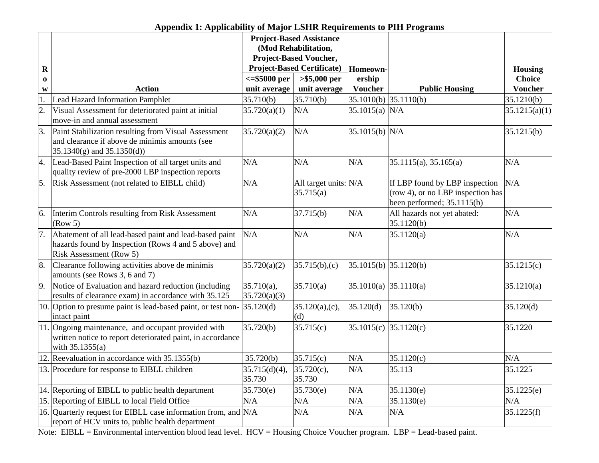|                  |                                                                                                                                                  |                                                | <b>Project-Based Assistance</b>    |                            |                                                                                                     |                |
|------------------|--------------------------------------------------------------------------------------------------------------------------------------------------|------------------------------------------------|------------------------------------|----------------------------|-----------------------------------------------------------------------------------------------------|----------------|
|                  |                                                                                                                                                  |                                                |                                    |                            |                                                                                                     |                |
|                  |                                                                                                                                                  | (Mod Rehabilitation,<br>Project-Based Voucher, |                                    |                            |                                                                                                     |                |
| $\mathbf R$      |                                                                                                                                                  | <b>Project-Based Certificate)</b>              |                                    | Homeown-                   |                                                                                                     | <b>Housing</b> |
| $\bf{0}$         |                                                                                                                                                  | <=\$5000 per<br>$> $5,000$ per                 |                                    | ership                     |                                                                                                     | <b>Choice</b>  |
| W                | <b>Action</b>                                                                                                                                    | unit average                                   | unit average                       | <b>Voucher</b>             | <b>Public Housing</b>                                                                               | <b>Voucher</b> |
| 1.               | <b>Lead Hazard Information Pamphlet</b>                                                                                                          | 35.710(b)                                      | 35.710(b)                          | 35.1010(b)                 | 35.1110(b)                                                                                          | 35.1210(b)     |
| $\overline{2}$ . | Visual Assessment for deteriorated paint at initial                                                                                              | 35.720(a)(1)                                   | N/A                                | $35.1015(a)$ N/A           |                                                                                                     | 35.1215(a)(1)  |
|                  | move-in and annual assessment                                                                                                                    |                                                |                                    |                            |                                                                                                     |                |
| 3.               | Paint Stabilization resulting from Visual Assessment<br>and clearance if above de minimis amounts (see<br>$35.1340(g)$ and $35.1350(d)$          | 35.720(a)(2)                                   | N/A                                | 35.1015(b) N/A             |                                                                                                     | 35.1215(b)     |
| 4.               | Lead-Based Paint Inspection of all target units and<br>quality review of pre-2000 LBP inspection reports                                         | N/A                                            | N/A                                | N/A                        | 35.1115(a), 35.165(a)                                                                               | N/A            |
| 5.               | Risk Assessment (not related to EIBLL child)                                                                                                     | N/A                                            | All target units: N/A<br>35.715(a) |                            | If LBP found by LBP inspection<br>(row 4), or no LBP inspection has<br>been performed; $35.1115(b)$ | N/A            |
| 6.               | Interim Controls resulting from Risk Assessment<br>(Row 5)                                                                                       | N/A                                            | 37.715(b)                          | N/A                        | All hazards not yet abated:<br>35.1120(b)                                                           | N/A            |
| 7.               | Abatement of all lead-based paint and lead-based paint<br>hazards found by Inspection (Rows 4 and 5 above) and<br><b>Risk Assessment (Row 5)</b> | N/A                                            | N/A                                | N/A                        | 35.1120(a)                                                                                          | N/A            |
| 8.               | Clearance following activities above de minimis<br>amounts (see Rows 3, 6 and 7)                                                                 | 35.720(a)(2)                                   | 35.715(b),(c)                      | $35.1015(b)$ $35.1120(b)$  |                                                                                                     | 35.1215(c)     |
| 9.               | Notice of Evaluation and hazard reduction (including<br>results of clearance exam) in accordance with 35.125                                     | $35.710(a)$ ,<br>35.720(a)(3)                  | 35.710(a)                          | 35.1010(a)                 | 35.1110(a)                                                                                          | 35.1210(a)     |
|                  | 10. Option to presume paint is lead-based paint, or test non-<br>intact paint                                                                    | 35.120(d)                                      | 35.120(a),(c),<br>(d)              | 35.120(d)                  | 35.120(b)                                                                                           | 35.120(d)      |
|                  | 11. Ongoing maintenance, and occupant provided with<br>written notice to report deteriorated paint, in accordance<br>with $35.1355(a)$           | 35.720(b)                                      | 35.715(c)                          | $35.1015(c)$ $ 35.1120(c)$ |                                                                                                     | 35.1220        |
|                  | 12. Reevaluation in accordance with 35.1355(b)                                                                                                   | 35.720(b)                                      | 35.715(c)                          | N/A                        | 35.1120(c)                                                                                          | N/A            |
|                  | 13. Procedure for response to EIBLL children                                                                                                     | 35.715(d)(4),<br>35.730                        | 35.720(c),<br>35.730               | N/A                        | 35.113                                                                                              | 35.1225        |
|                  | 14. Reporting of EIBLL to public health department                                                                                               | 35.730(e)                                      | 35.730(e)                          | N/A                        | 35.1130(e)                                                                                          | 35.1225(e)     |
|                  | 15. Reporting of EIBLL to local Field Office                                                                                                     | N/A                                            | N/A                                | N/A                        | 35.1130(e)                                                                                          | N/A            |
|                  | 16. Quarterly request for EIBLL case information from, and N/A<br>report of HCV units to, public health department                               |                                                | N/A                                | N/A                        | N/A                                                                                                 | 35.1225(f)     |

**Appendix 1: Applicability of Major LSHR Requirements to PIH Programs**

Note: EIBLL = Environmental intervention blood lead level. HCV = Housing Choice Voucher program. LBP = Lead-based paint.